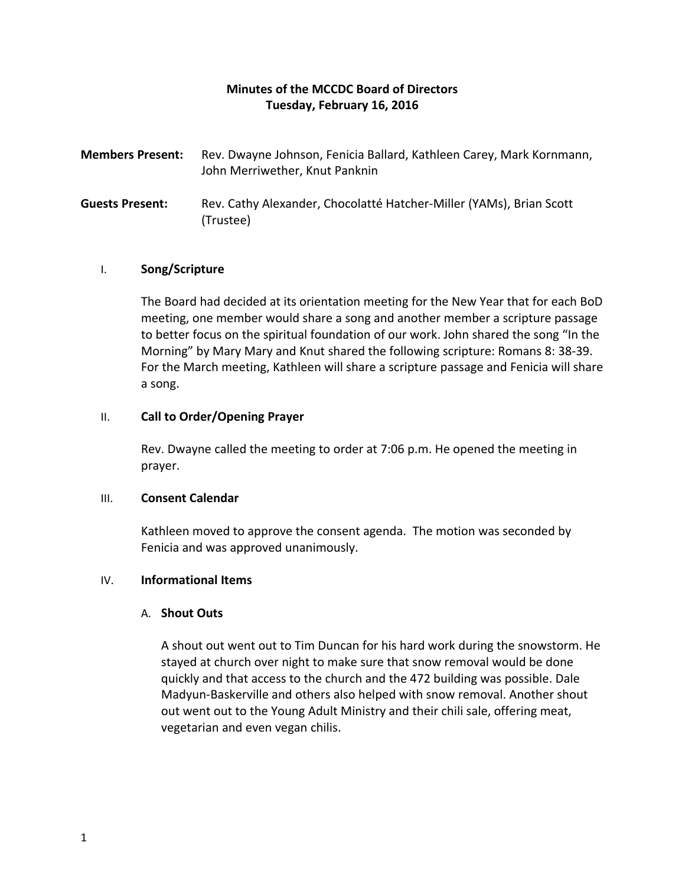# **Minutes of the MCCDC Board of Directors Tuesday, February 16, 2016**

- **Members Present:** Rev. Dwayne Johnson, Fenicia Ballard, Kathleen Carey, Mark Kornmann, John Merriwether, Knut Panknin
- **Guests Present:** Rev. Cathy Alexander, Chocolatté Hatcher-Miller (YAMs), Brian Scott (Trustee)

# I. **Song/Scripture**

The Board had decided at its orientation meeting for the New Year that for each BoD meeting, one member would share a song and another member a scripture passage to better focus on the spiritual foundation of our work. John shared the song "In the Morning" by Mary Mary and Knut shared the following scripture: Romans 8: 38-39. For the March meeting, Kathleen will share a scripture passage and Fenicia will share a song.

# II. **Call to Order/Opening Prayer**

Rev. Dwayne called the meeting to order at 7:06 p.m. He opened the meeting in prayer.

# III. **Consent Calendar**

Kathleen moved to approve the consent agenda. The motion was seconded by Fenicia and was approved unanimously.

# IV. **Informational Items**

# A. **Shout Outs**

A shout out went out to Tim Duncan for his hard work during the snowstorm. He stayed at church over night to make sure that snow removal would be done quickly and that access to the church and the 472 building was possible. Dale Madyun-Baskerville and others also helped with snow removal. Another shout out went out to the Young Adult Ministry and their chili sale, offering meat, vegetarian and even vegan chilis.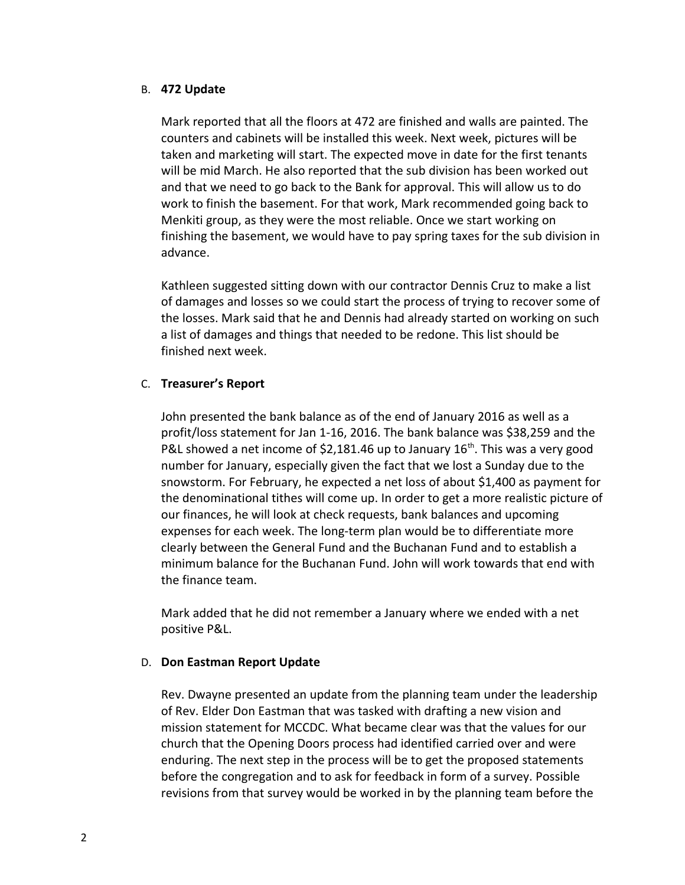# B. **472 Update**

Mark reported that all the floors at 472 are finished and walls are painted. The counters and cabinets will be installed this week. Next week, pictures will be taken and marketing will start. The expected move in date for the first tenants will be mid March. He also reported that the sub division has been worked out and that we need to go back to the Bank for approval. This will allow us to do work to finish the basement. For that work, Mark recommended going back to Menkiti group, as they were the most reliable. Once we start working on finishing the basement, we would have to pay spring taxes for the sub division in advance.

Kathleen suggested sitting down with our contractor Dennis Cruz to make a list of damages and losses so we could start the process of trying to recover some of the losses. Mark said that he and Dennis had already started on working on such a list of damages and things that needed to be redone. This list should be finished next week.

# C. **Treasurer's Report**

John presented the bank balance as of the end of January 2016 as well as a profit/loss statement for Jan 1-16, 2016. The bank balance was \$38,259 and the P&L showed a net income of \$2,181.46 up to January  $16^{th}$ . This was a very good number for January, especially given the fact that we lost a Sunday due to the snowstorm. For February, he expected a net loss of about \$1,400 as payment for the denominational tithes will come up. In order to get a more realistic picture of our finances, he will look at check requests, bank balances and upcoming expenses for each week. The long-term plan would be to differentiate more clearly between the General Fund and the Buchanan Fund and to establish a minimum balance for the Buchanan Fund. John will work towards that end with the finance team.

Mark added that he did not remember a January where we ended with a net positive P&L.

#### D. **Don Eastman Report Update**

Rev. Dwayne presented an update from the planning team under the leadership of Rev. Elder Don Eastman that was tasked with drafting a new vision and mission statement for MCCDC. What became clear was that the values for our church that the Opening Doors process had identified carried over and were enduring. The next step in the process will be to get the proposed statements before the congregation and to ask for feedback in form of a survey. Possible revisions from that survey would be worked in by the planning team before the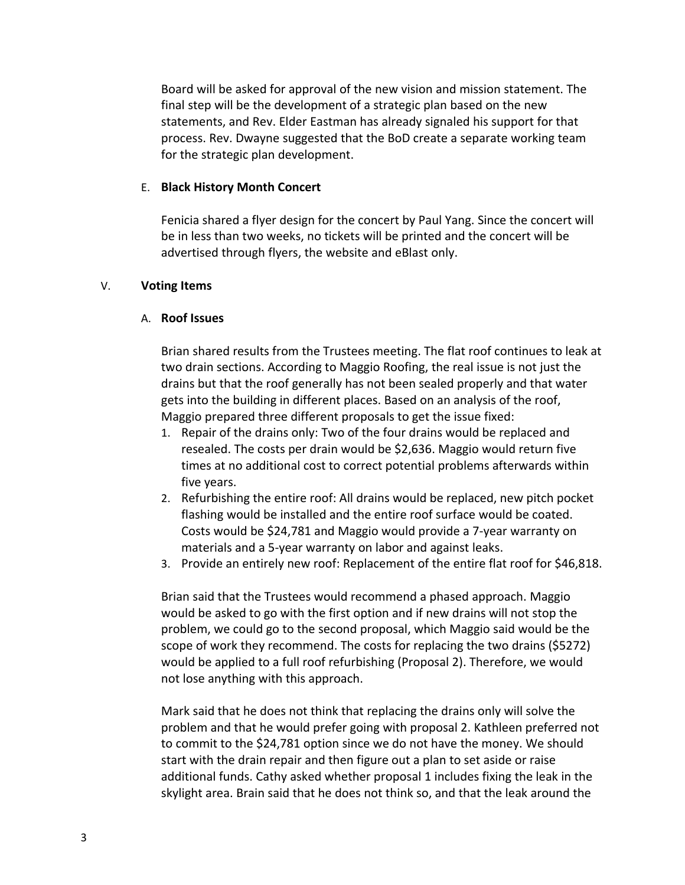Board will be asked for approval of the new vision and mission statement. The final step will be the development of a strategic plan based on the new statements, and Rev. Elder Eastman has already signaled his support for that process. Rev. Dwayne suggested that the BoD create a separate working team for the strategic plan development.

#### E. **Black History Month Concert**

Fenicia shared a flyer design for the concert by Paul Yang. Since the concert will be in less than two weeks, no tickets will be printed and the concert will be advertised through flyers, the website and eBlast only.

### V. **Voting Items**

### A. **Roof Issues**

Brian shared results from the Trustees meeting. The flat roof continues to leak at two drain sections. According to Maggio Roofing, the real issue is not just the drains but that the roof generally has not been sealed properly and that water gets into the building in different places. Based on an analysis of the roof, Maggio prepared three different proposals to get the issue fixed:

- 1. Repair of the drains only: Two of the four drains would be replaced and resealed. The costs per drain would be \$2,636. Maggio would return five times at no additional cost to correct potential problems afterwards within five years.
- 2. Refurbishing the entire roof: All drains would be replaced, new pitch pocket flashing would be installed and the entire roof surface would be coated. Costs would be \$24,781 and Maggio would provide a 7-year warranty on materials and a 5-year warranty on labor and against leaks.
- 3. Provide an entirely new roof: Replacement of the entire flat roof for \$46,818.

Brian said that the Trustees would recommend a phased approach. Maggio would be asked to go with the first option and if new drains will not stop the problem, we could go to the second proposal, which Maggio said would be the scope of work they recommend. The costs for replacing the two drains (\$5272) would be applied to a full roof refurbishing (Proposal 2). Therefore, we would not lose anything with this approach.

Mark said that he does not think that replacing the drains only will solve the problem and that he would prefer going with proposal 2. Kathleen preferred not to commit to the \$24,781 option since we do not have the money. We should start with the drain repair and then figure out a plan to set aside or raise additional funds. Cathy asked whether proposal 1 includes fixing the leak in the skylight area. Brain said that he does not think so, and that the leak around the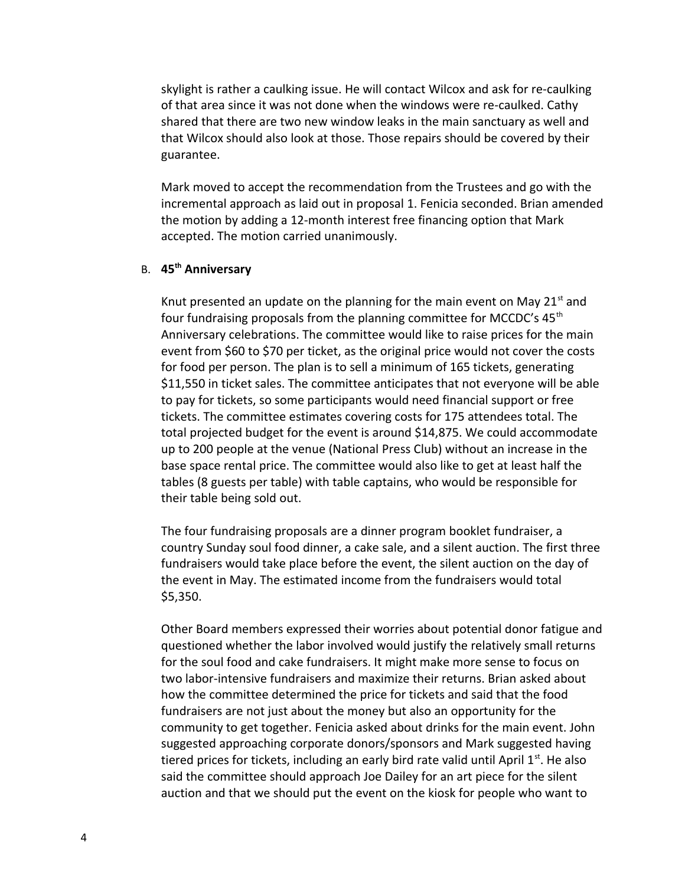skylight is rather a caulking issue. He will contact Wilcox and ask for re-caulking of that area since it was not done when the windows were re-caulked. Cathy shared that there are two new window leaks in the main sanctuary as well and that Wilcox should also look at those. Those repairs should be covered by their guarantee.

Mark moved to accept the recommendation from the Trustees and go with the incremental approach as laid out in proposal 1. Fenicia seconded. Brian amended the motion by adding a 12-month interest free financing option that Mark accepted. The motion carried unanimously.

# B. **45th Anniversary**

Knut presented an update on the planning for the main event on May 21 $^{\rm st}$  and four fundraising proposals from the planning committee for MCCDC's 45<sup>th</sup> Anniversary celebrations. The committee would like to raise prices for the main event from \$60 to \$70 per ticket, as the original price would not cover the costs for food per person. The plan is to sell a minimum of 165 tickets, generating \$11,550 in ticket sales. The committee anticipates that not everyone will be able to pay for tickets, so some participants would need financial support or free tickets. The committee estimates covering costs for 175 attendees total. The total projected budget for the event is around \$14,875. We could accommodate up to 200 people at the venue (National Press Club) without an increase in the base space rental price. The committee would also like to get at least half the tables (8 guests per table) with table captains, who would be responsible for their table being sold out.

The four fundraising proposals are a dinner program booklet fundraiser, a country Sunday soul food dinner, a cake sale, and a silent auction. The first three fundraisers would take place before the event, the silent auction on the day of the event in May. The estimated income from the fundraisers would total \$5,350.

Other Board members expressed their worries about potential donor fatigue and questioned whether the labor involved would justify the relatively small returns for the soul food and cake fundraisers. It might make more sense to focus on two labor-intensive fundraisers and maximize their returns. Brian asked about how the committee determined the price for tickets and said that the food fundraisers are not just about the money but also an opportunity for the community to get together. Fenicia asked about drinks for the main event. John suggested approaching corporate donors/sponsors and Mark suggested having tiered prices for tickets, including an early bird rate valid until April  $1<sup>st</sup>$ . He also said the committee should approach Joe Dailey for an art piece for the silent auction and that we should put the event on the kiosk for people who want to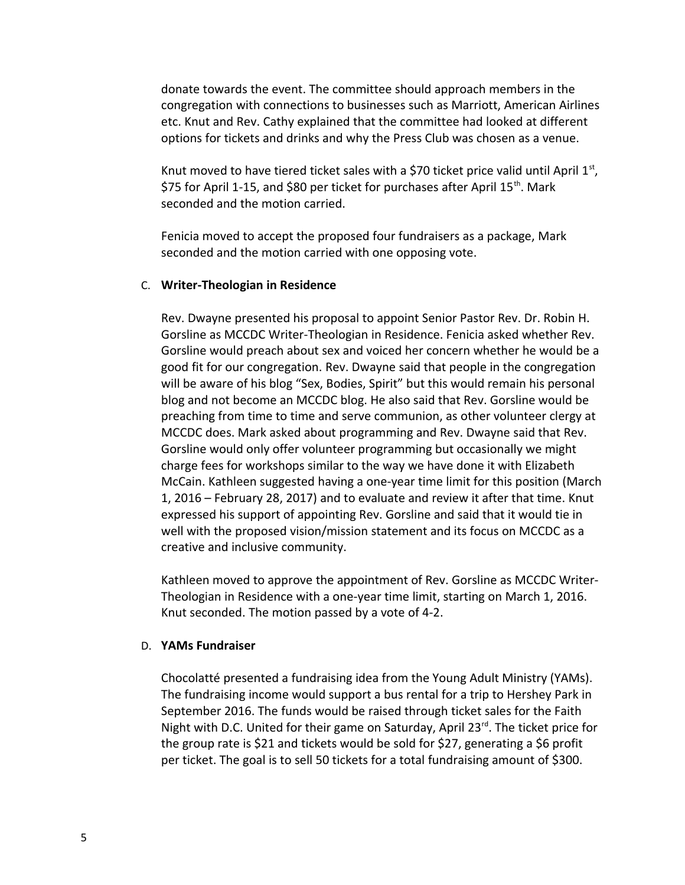donate towards the event. The committee should approach members in the congregation with connections to businesses such as Marriott, American Airlines etc. Knut and Rev. Cathy explained that the committee had looked at different options for tickets and drinks and why the Press Club was chosen as a venue.

Knut moved to have tiered ticket sales with a \$70 ticket price valid until April  $1<sup>st</sup>$ , \$75 for April 1-15, and \$80 per ticket for purchases after April 15<sup>th</sup>. Mark seconded and the motion carried.

Fenicia moved to accept the proposed four fundraisers as a package, Mark seconded and the motion carried with one opposing vote.

#### C. **Writer-Theologian in Residence**

Rev. Dwayne presented his proposal to appoint Senior Pastor Rev. Dr. Robin H. Gorsline as MCCDC Writer-Theologian in Residence. Fenicia asked whether Rev. Gorsline would preach about sex and voiced her concern whether he would be a good fit for our congregation. Rev. Dwayne said that people in the congregation will be aware of his blog "Sex, Bodies, Spirit" but this would remain his personal blog and not become an MCCDC blog. He also said that Rev. Gorsline would be preaching from time to time and serve communion, as other volunteer clergy at MCCDC does. Mark asked about programming and Rev. Dwayne said that Rev. Gorsline would only offer volunteer programming but occasionally we might charge fees for workshops similar to the way we have done it with Elizabeth McCain. Kathleen suggested having a one-year time limit for this position (March 1, 2016 – February 28, 2017) and to evaluate and review it after that time. Knut expressed his support of appointing Rev. Gorsline and said that it would tie in well with the proposed vision/mission statement and its focus on MCCDC as a creative and inclusive community.

Kathleen moved to approve the appointment of Rev. Gorsline as MCCDC Writer-Theologian in Residence with a one-year time limit, starting on March 1, 2016. Knut seconded. The motion passed by a vote of 4-2.

#### D. **YAMs Fundraiser**

Chocolatté presented a fundraising idea from the Young Adult Ministry (YAMs). The fundraising income would support a bus rental for a trip to Hershey Park in September 2016. The funds would be raised through ticket sales for the Faith Night with D.C. United for their game on Saturday, April  $23<sup>rd</sup>$ . The ticket price for the group rate is \$21 and tickets would be sold for \$27, generating a \$6 profit per ticket. The goal is to sell 50 tickets for a total fundraising amount of \$300.